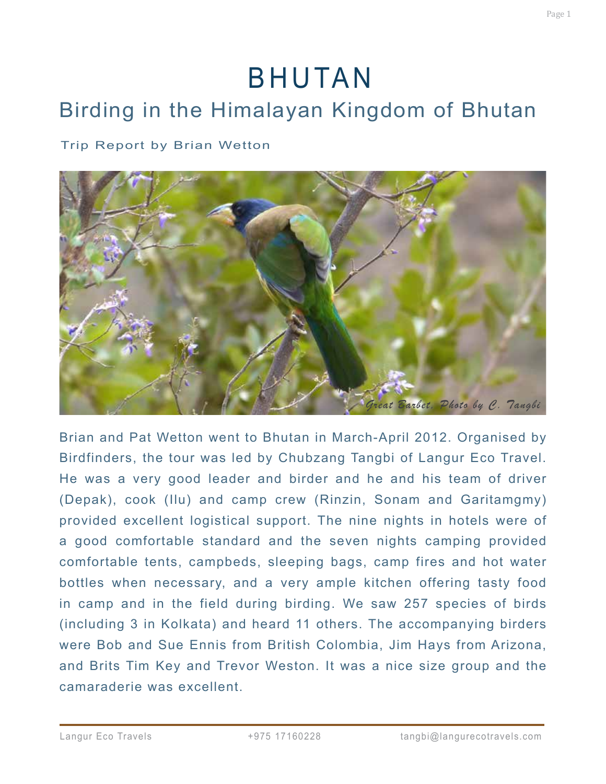# BHUTAN

# Birding in the Himalayan Kingdom of Bhutan

#### Trip Report by Brian Wetton



Brian and Pat Wetton went to Bhutan in March-April 2012. Organised by Birdfinders, the tour was led by Chubzang Tangbi of Langur Eco Travel. He was a very good leader and birder and he and his team of driver (Depak), cook (Ilu) and camp crew (Rinzin, Sonam and Garitamgmy) provided excellent logistical support. The nine nights in hotels were of a good comfortable standard and the seven nights camping provided comfortable tents, campbeds, sleeping bags, camp fires and hot water bottles when necessary, and a very ample kitchen offering tasty food in camp and in the field during birding. We saw 257 species of birds (including 3 in Kolkata) and heard 11 others. The accompanying birders were Bob and Sue Ennis from British Colombia, Jim Hays from Arizona, and Brits Tim Key and Trevor Weston. It was a nice size group and the camaraderie was excellent.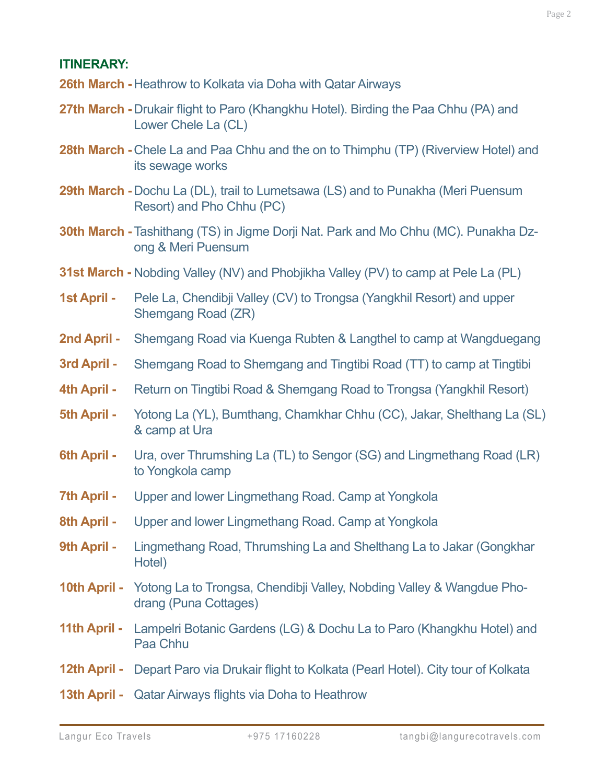#### **ITINERARY:**

- **26th March -** Heathrow to Kolkata via Doha with Qatar Airways
- **27th March -** Drukair flight to Paro (Khangkhu Hotel). Birding the Paa Chhu (PA) and Lower Chele La (CL)
- **28th March Chele La and Paa Chhu and the on to Thimphu (TP) (Riverview Hotel) and** its sewage works
- **29th March -** Dochu La (DL), trail to Lumetsawa (LS) and to Punakha (Meri Puensum Resort) and Pho Chhu (PC)
- **30th March -** Tashithang (TS) in Jigme Dorji Nat. Park and Mo Chhu (MC). Punakha Dzong & Meri Puensum
- **31st March -** Nobding Valley (NV) and Phobjikha Valley (PV) to camp at Pele La (PL)
- Pele La, Chendibji Valley (CV) to Trongsa (Yangkhil Resort) and upper Shemgang Road (ZR) **1st April -**
- Shemgang Road via Kuenga Rubten & Langthel to camp at Wangduegang **2nd April -**
- Shemgang Road to Shemgang and Tingtibi Road (TT) to camp at Tingtibi **3rd April -**
- Return on Tingtibi Road & Shemgang Road to Trongsa (Yangkhil Resort) **4th April -**
- Yotong La (YL), Bumthang, Chamkhar Chhu (CC), Jakar, Shelthang La (SL) & camp at Ura **5th April -**
- Ura, over Thrumshing La (TL) to Sengor (SG) and Lingmethang Road (LR) to Yongkola camp **6th April -**
- Upper and lower Lingmethang Road. Camp at Yongkola **7th April -**
- Upper and lower Lingmethang Road. Camp at Yongkola **8th April -**
- Lingmethang Road, Thrumshing La and Shelthang La to Jakar (Gongkhar Hotel) **9th April -**
- **10th April -** Yotong La to Trongsa, Chendibji Valley, Nobding Valley & Wangdue Phodrang (Puna Cottages)
- **11th April -** Lampelri Botanic Gardens (LG) & Dochu La to Paro (Khangkhu Hotel) and Paa Chhu
- **12th April -** Depart Paro via Drukair flight to Kolkata (Pearl Hotel). City tour of Kolkata
- **13th April -** Qatar Airways flights via Doha to Heathrow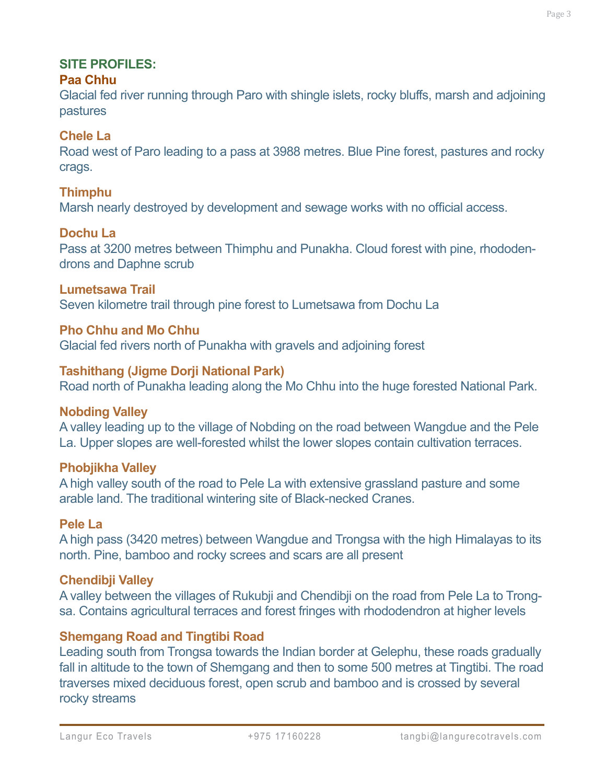# **Paa Chhu**

Glacial fed river running through Paro with shingle islets, rocky bluffs, marsh and adjoining pastures

# **Chele La**

Road west of Paro leading to a pass at 3988 metres. Blue Pine forest, pastures and rocky crags.

# **Thimphu**

Marsh nearly destroyed by development and sewage works with no official access.

# **Dochu La**

Pass at 3200 metres between Thimphu and Punakha. Cloud forest with pine, rhododendrons and Daphne scrub

# **Lumetsawa Trail**

Seven kilometre trail through pine forest to Lumetsawa from Dochu La

#### **Pho Chhu and Mo Chhu**

Glacial fed rivers north of Punakha with gravels and adjoining forest

# **Tashithang (Jigme Dorji National Park)**

Road north of Punakha leading along the Mo Chhu into the huge forested National Park.

# **Nobding Valley**

A valley leading up to the village of Nobding on the road between Wangdue and the Pele La. Upper slopes are well-forested whilst the lower slopes contain cultivation terraces.

# **Phobjikha Valley**

A high valley south of the road to Pele La with extensive grassland pasture and some arable land. The traditional wintering site of Black-necked Cranes.

#### **Pele La**

A high pass (3420 metres) between Wangdue and Trongsa with the high Himalayas to its north. Pine, bamboo and rocky screes and scars are all present

#### **Chendibji Valley**

A valley between the villages of Rukubji and Chendibji on the road from Pele La to Trongsa. Contains agricultural terraces and forest fringes with rhododendron at higher levels

# **Shemgang Road and Tingtibi Road**

Leading south from Trongsa towards the Indian border at Gelephu, these roads gradually fall in altitude to the town of Shemgang and then to some 500 metres at Tingtibi. The road traverses mixed deciduous forest, open scrub and bamboo and is crossed by several rocky streams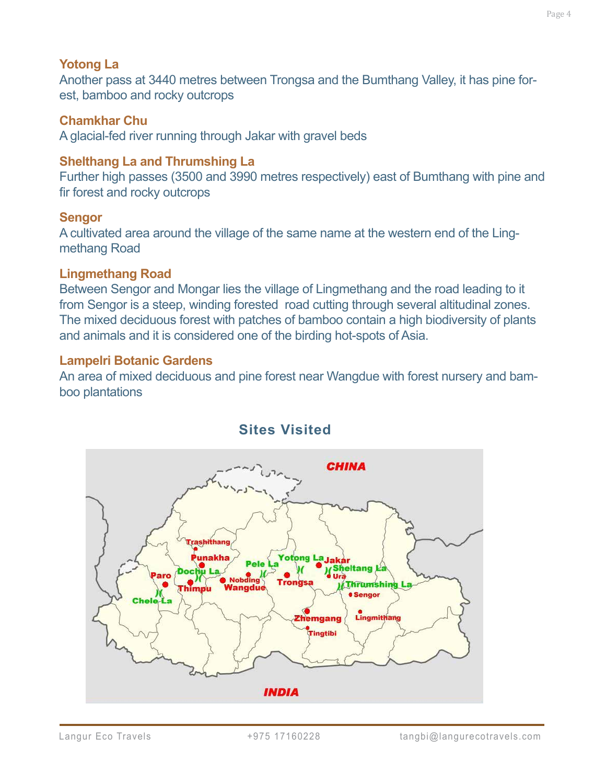#### **Yotong La**

Another pass at 3440 metres between Trongsa and the Bumthang Valley, it has pine forest, bamboo and rocky outcrops

#### **Chamkhar Chu**

A glacial-fed river running through Jakar with gravel beds

#### **Shelthang La and Thrumshing La**

Further high passes (3500 and 3990 metres respectively) east of Bumthang with pine and fir forest and rocky outcrops

#### **Sengor**

A cultivated area around the village of the same name at the western end of the Lingmethang Road

#### **Lingmethang Road**

Between Sengor and Mongar lies the village of Lingmethang and the road leading to it from Sengor is a steep, winding forested road cutting through several altitudinal zones. The mixed deciduous forest with patches of bamboo contain a high biodiversity of plants and animals and it is considered one of the birding hot-spots of Asia.

#### **Lampelri Botanic Gardens**

An area of mixed deciduous and pine forest near Wangdue with forest nursery and bamboo plantations



# **Sites Visited**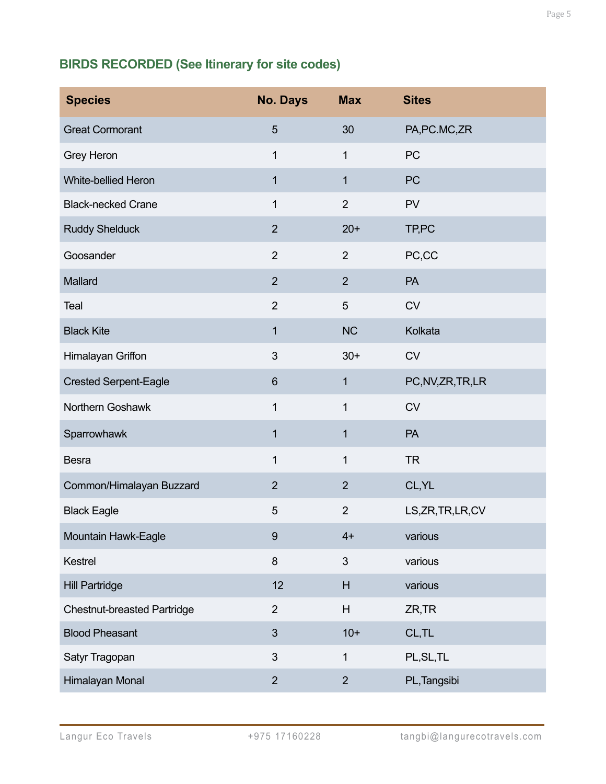# **BIRDS RECORDED (See Itinerary for site codes)**

| <b>Species</b>                     | <b>No. Days</b> | <b>Max</b>     | <b>Sites</b>       |
|------------------------------------|-----------------|----------------|--------------------|
| <b>Great Cormorant</b>             | $5\phantom{.}$  | 30             | PA, PC. MC, ZR     |
| <b>Grey Heron</b>                  | 1               | 1              | PC                 |
| White-bellied Heron                | $\mathbf{1}$    | 1              | PC                 |
| <b>Black-necked Crane</b>          | 1               | $\overline{2}$ | PV                 |
| <b>Ruddy Shelduck</b>              | $\overline{2}$  | $20+$          | TP,PC              |
| Goosander                          | $\overline{2}$  | $\overline{2}$ | PC,CC              |
| Mallard                            | $\overline{2}$  | 2              | PA                 |
| Teal                               | $\overline{2}$  | 5              | <b>CV</b>          |
| <b>Black Kite</b>                  | $\mathbf 1$     | <b>NC</b>      | Kolkata            |
| Himalayan Griffon                  | $\mathfrak{B}$  | $30+$          | <b>CV</b>          |
| <b>Crested Serpent-Eagle</b>       | $6\phantom{1}$  | 1              | PC, NV, ZR, TR, LR |
| Northern Goshawk                   | $\mathbf{1}$    | 1              | <b>CV</b>          |
| Sparrowhawk                        | $\mathbf 1$     | 1              | PA                 |
| <b>Besra</b>                       | 1               | 1              | <b>TR</b>          |
| Common/Himalayan Buzzard           | $\overline{2}$  | $\overline{2}$ | CL, YL             |
| <b>Black Eagle</b>                 | 5               | $\overline{2}$ | LS, ZR, TR, LR, CV |
| Mountain Hawk-Eagle                | $\overline{9}$  | $4+$           | various            |
| Kestrel                            | 8               | 3              | various            |
| <b>Hill Partridge</b>              | 12              | H              | various            |
| <b>Chestnut-breasted Partridge</b> | $\overline{2}$  | H              | ZR, TR             |
| <b>Blood Pheasant</b>              | 3               | $10+$          | CL,TL              |
| Satyr Tragopan                     | 3               | $\mathbf{1}$   | PL, SL, TL         |
| Himalayan Monal                    | $\overline{2}$  | $\overline{2}$ | PL, Tangsibi       |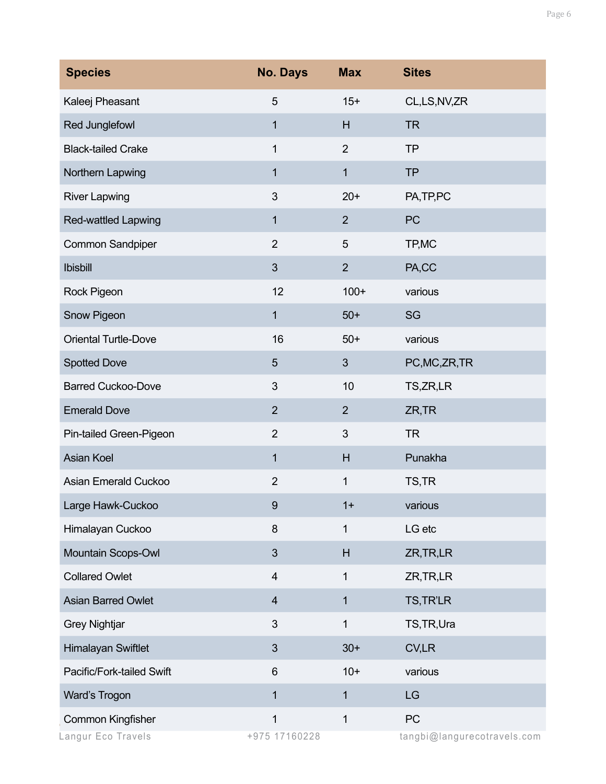| <b>Species</b>                          | <b>No. Days</b>         | <b>Max</b>     | <b>Sites</b>                      |
|-----------------------------------------|-------------------------|----------------|-----------------------------------|
| Kaleej Pheasant                         | 5                       | $15+$          | CL,LS,NV,ZR                       |
| Red Junglefowl                          | $\mathbf{1}$            | H              | <b>TR</b>                         |
| <b>Black-tailed Crake</b>               | 1                       | $\overline{2}$ | <b>TP</b>                         |
| Northern Lapwing                        | $\mathbf{1}$            | $\mathbf{1}$   | <b>TP</b>                         |
| <b>River Lapwing</b>                    | 3                       | $20+$          | PA, TP, PC                        |
| <b>Red-wattled Lapwing</b>              | $\mathbf{1}$            | $\overline{2}$ | PC                                |
| <b>Common Sandpiper</b>                 | $\overline{2}$          | 5              | TP, MC                            |
| <b>Ibisbill</b>                         | 3                       | $\overline{2}$ | PA,CC                             |
| Rock Pigeon                             | 12                      | $100+$         | various                           |
| Snow Pigeon                             | $\mathbf{1}$            | $50+$          | SG                                |
| <b>Oriental Turtle-Dove</b>             | 16                      | $50+$          | various                           |
| <b>Spotted Dove</b>                     | 5                       | 3              | PC, MC, ZR, TR                    |
| <b>Barred Cuckoo-Dove</b>               | 3                       | 10             | TS, ZR, LR                        |
| <b>Emerald Dove</b>                     | $\overline{2}$          | $\overline{2}$ | ZR, TR                            |
| Pin-tailed Green-Pigeon                 | $\overline{2}$          | 3              | <b>TR</b>                         |
| <b>Asian Koel</b>                       | 1                       | H              | Punakha                           |
| Asian Emerald Cuckoo                    | $\overline{2}$          | 1              | TS,TR                             |
| Large Hawk-Cuckoo                       | 9                       | $1+$           | various                           |
| Himalayan Cuckoo                        | 8                       | 1              | LG etc                            |
| Mountain Scops-Owl                      | 3                       | H              | ZR, TR, LR                        |
| <b>Collared Owlet</b>                   | 4                       | 1              | ZR, TR, LR                        |
| <b>Asian Barred Owlet</b>               | $\overline{\mathbf{4}}$ | $\mathbf{1}$   | TS, TR'LR                         |
| <b>Grey Nightjar</b>                    | 3                       | $\mathbf{1}$   | TS, TR, Ura                       |
| Himalayan Swiftlet                      | 3                       | $30+$          | CV,LR                             |
| Pacific/Fork-tailed Swift               | 6                       | $10+$          | various                           |
| Ward's Trogon                           | $\mathbf{1}$            | $\mathbf{1}$   | LG                                |
| Common Kingfisher<br>Langur Eco Travels | 1<br>+975 17160228      | $\mathbf{1}$   | PC<br>tangbi@langurecotravels.com |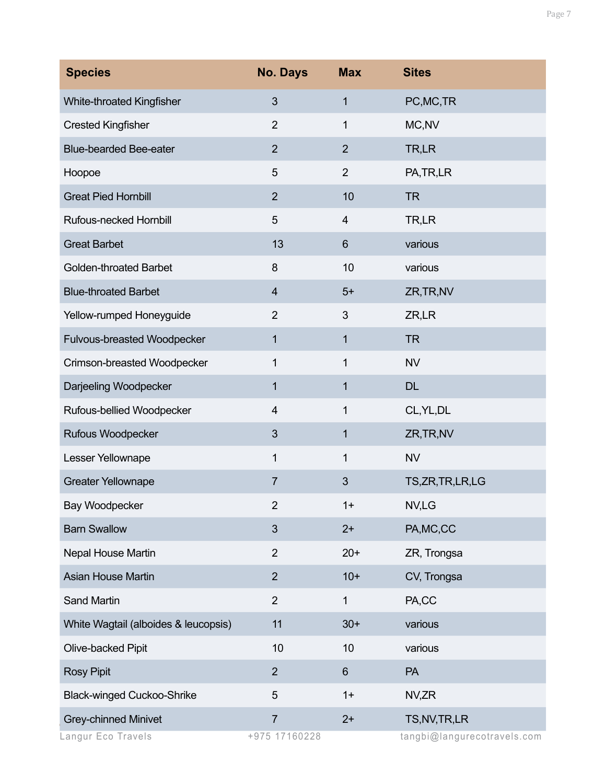| <b>Species</b>                       | <b>No. Days</b> | <b>Max</b>     | <b>Sites</b>                |
|--------------------------------------|-----------------|----------------|-----------------------------|
| White-throated Kingfisher            | 3               | 1              | PC, MC, TR                  |
| <b>Crested Kingfisher</b>            | $\overline{2}$  | 1              | MC, NV                      |
| <b>Blue-bearded Bee-eater</b>        | $\overline{2}$  | $\overline{2}$ | TR,LR                       |
| Hoopoe                               | 5               | $\overline{2}$ | PA, TR, LR                  |
| <b>Great Pied Hornbill</b>           | $\overline{2}$  | 10             | <b>TR</b>                   |
| Rufous-necked Hornbill               | 5               | 4              | TR,LR                       |
| <b>Great Barbet</b>                  | 13              | 6              | various                     |
| <b>Golden-throated Barbet</b>        | 8               | 10             | various                     |
| <b>Blue-throated Barbet</b>          | 4               | $5+$           | ZR, TR, NV                  |
| Yellow-rumped Honeyguide             | $\overline{2}$  | 3              | ZR,LR                       |
| Fulvous-breasted Woodpecker          | 1               | 1              | <b>TR</b>                   |
| Crimson-breasted Woodpecker          | 1               | 1              | <b>NV</b>                   |
| Darjeeling Woodpecker                | 1               | 1              | <b>DL</b>                   |
| Rufous-bellied Woodpecker            | 4               | 1              | CL, YL, DL                  |
| Rufous Woodpecker                    | 3               | 1              | ZR, TR, NV                  |
| Lesser Yellownape                    | 1               | 1              | <b>NV</b>                   |
| <b>Greater Yellownape</b>            | $\overline{7}$  | 3              | TS,ZR,TR,LR,LG              |
| Bay Woodpecker                       | 2               | $1+$           | NV,LG                       |
| <b>Barn Swallow</b>                  | 3               | $2+$           | PA, MC, CC                  |
| Nepal House Martin                   | $\overline{2}$  | $20+$          | ZR, Trongsa                 |
| <b>Asian House Martin</b>            | $\overline{2}$  | $10+$          | CV, Trongsa                 |
| Sand Martin                          | $\overline{2}$  | 1              | PA,CC                       |
| White Wagtail (alboides & leucopsis) | 11              | $30+$          | various                     |
| Olive-backed Pipit                   | 10              | 10             | various                     |
| <b>Rosy Pipit</b>                    | $\overline{2}$  | 6              | <b>PA</b>                   |
| <b>Black-winged Cuckoo-Shrike</b>    | 5               | $1+$           | NV,ZR                       |
| <b>Grey-chinned Minivet</b>          | $\overline{7}$  | $2+$           | TS, NV, TR, LR              |
| angur Eco Travels                    | +975 17160228   |                | tangbi@langurecotravels.com |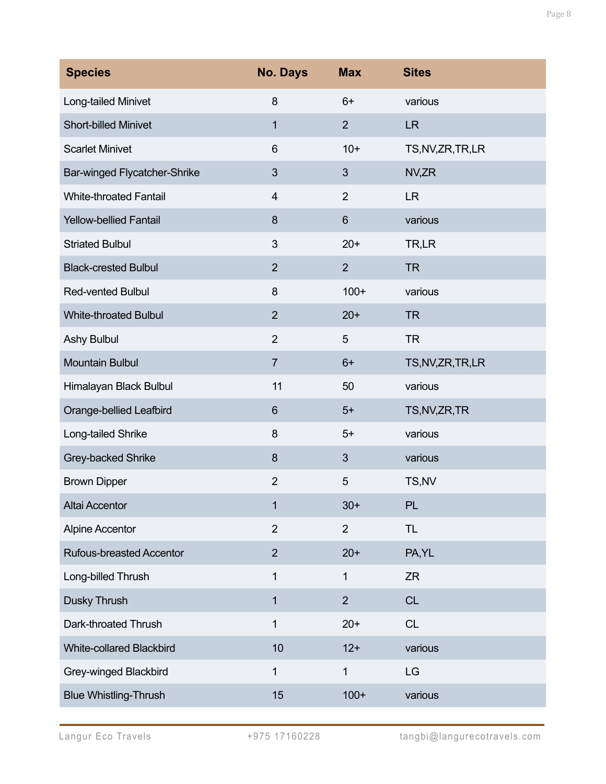| <b>Species</b>                  | <b>No. Days</b> | <b>Max</b>     | <b>Sites</b>       |
|---------------------------------|-----------------|----------------|--------------------|
| Long-tailed Minivet             | 8               | $6+$           | various            |
| <b>Short-billed Minivet</b>     | 1               | $\overline{2}$ | <b>LR</b>          |
| <b>Scarlet Minivet</b>          | 6               | $10+$          | TS, NV, ZR, TR, LR |
| Bar-winged Flycatcher-Shrike    | $\mathfrak{S}$  | 3              | NV,ZR              |
| <b>White-throated Fantail</b>   | 4               | $\overline{2}$ | <b>LR</b>          |
| <b>Yellow-bellied Fantail</b>   | 8               | $6\phantom{1}$ | various            |
| <b>Striated Bulbul</b>          | 3               | $20+$          | TR,LR              |
| <b>Black-crested Bulbul</b>     | $\overline{2}$  | $\overline{2}$ | <b>TR</b>          |
| <b>Red-vented Bulbul</b>        | 8               | $100+$         | various            |
| <b>White-throated Bulbul</b>    | $\overline{2}$  | $20+$          | <b>TR</b>          |
| Ashy Bulbul                     | $\overline{2}$  | 5              | <b>TR</b>          |
| <b>Mountain Bulbul</b>          | $\overline{7}$  | $6+$           | TS, NV, ZR, TR, LR |
| Himalayan Black Bulbul          | 11              | 50             | various            |
| Orange-bellied Leafbird         | 6               | $5+$           | TS, NV, ZR, TR     |
| Long-tailed Shrike              | 8               | $5+$           | various            |
| Grey-backed Shrike              | 8               | 3              | various            |
| <b>Brown Dipper</b>             | $\overline{2}$  | 5              | TS, NV             |
| <b>Altai Accentor</b>           | 1               | $30+$          | <b>PL</b>          |
| <b>Alpine Accentor</b>          | $\overline{2}$  | $\overline{2}$ | <b>TL</b>          |
| <b>Rufous-breasted Accentor</b> | $\overline{2}$  | $20+$          | PA, YL             |
| Long-billed Thrush              | 1               | 1              | <b>ZR</b>          |
| Dusky Thrush                    | 1               | $\overline{2}$ | <b>CL</b>          |
| Dark-throated Thrush            | 1               | $20+$          | CL                 |
| <b>White-collared Blackbird</b> | 10              | $12+$          | various            |
| Grey-winged Blackbird           | 1               | 1              | LG                 |
| <b>Blue Whistling-Thrush</b>    | 15              | $100+$         | various            |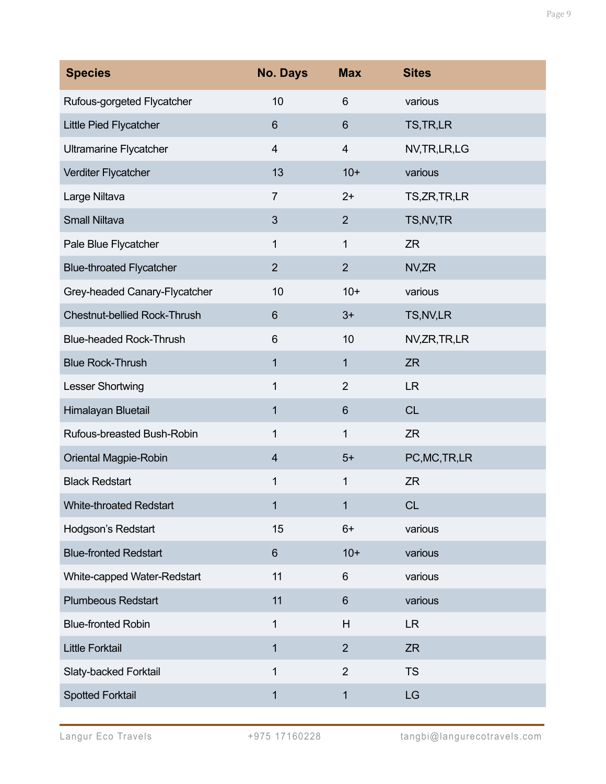| <b>Species</b>                      | <b>No. Days</b>         | <b>Max</b>     | <b>Sites</b>   |
|-------------------------------------|-------------------------|----------------|----------------|
| Rufous-gorgeted Flycatcher          | 10                      | 6              | various        |
| Little Pied Flycatcher              | 6                       | $6\phantom{1}$ | TS, TR, LR     |
| <b>Ultramarine Flycatcher</b>       | 4                       | $\overline{4}$ | NV, TR, LR, LG |
| Verditer Flycatcher                 | 13                      | $10+$          | various        |
| Large Niltava                       | $\overline{7}$          | $2+$           | TS, ZR, TR, LR |
| <b>Small Niltava</b>                | $\mathfrak{S}$          | $\overline{2}$ | TS, NV, TR     |
| Pale Blue Flycatcher                | 1                       | 1              | <b>ZR</b>      |
| <b>Blue-throated Flycatcher</b>     | $\overline{2}$          | $\overline{2}$ | NV,ZR          |
| Grey-headed Canary-Flycatcher       | 10                      | $10+$          | various        |
| <b>Chestnut-bellied Rock-Thrush</b> | 6                       | $3+$           | TS, NV, LR     |
| <b>Blue-headed Rock-Thrush</b>      | 6                       | 10             | NV,ZR,TR,LR    |
| <b>Blue Rock-Thrush</b>             | 1                       | 1              | <b>ZR</b>      |
| Lesser Shortwing                    | 1                       | $\overline{2}$ | <b>LR</b>      |
| Himalayan Bluetail                  | 1                       | $6\phantom{1}$ | <b>CL</b>      |
| Rufous-breasted Bush-Robin          | 1                       | 1              | <b>ZR</b>      |
| Oriental Magpie-Robin               | $\overline{\mathbf{4}}$ | $5+$           | PC, MC, TR, LR |
| <b>Black Redstart</b>               | 1                       | 1              | <b>ZR</b>      |
| <b>White-throated Redstart</b>      | 1                       | 1              | <b>CL</b>      |
| Hodgson's Redstart                  | 15                      | $6+$           | various        |
| <b>Blue-fronted Redstart</b>        | 6                       | $10+$          | various        |
| White-capped Water-Redstart         | 11                      | 6              | various        |
| <b>Plumbeous Redstart</b>           | 11                      | $6\phantom{1}$ | various        |
| <b>Blue-fronted Robin</b>           | 1                       | H              | <b>LR</b>      |
| <b>Little Forktail</b>              | 1                       | $\overline{2}$ | ZR             |
| Slaty-backed Forktail               | 1                       | $\overline{2}$ | <b>TS</b>      |
| <b>Spotted Forktail</b>             | 1                       | 1              | LG             |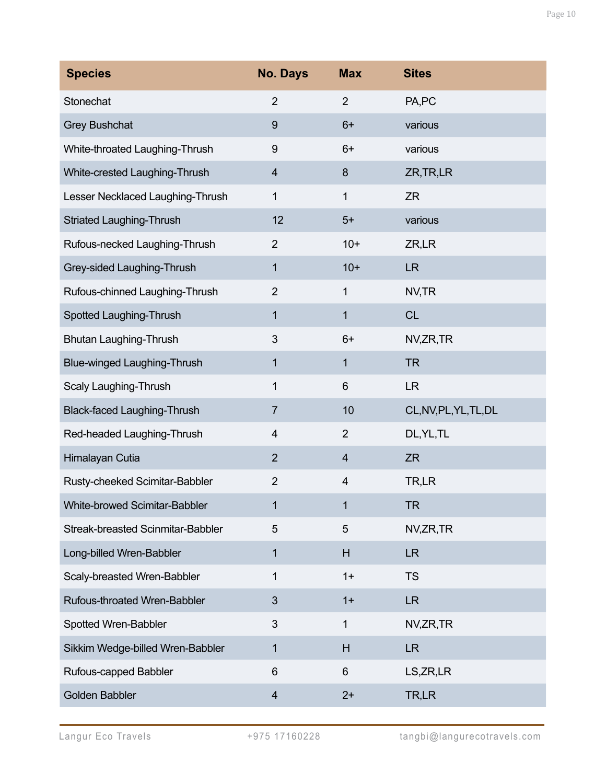| <b>Species</b>                           | <b>No. Days</b> | <b>Max</b>     | <b>Sites</b>           |
|------------------------------------------|-----------------|----------------|------------------------|
| Stonechat                                | $\overline{2}$  | $\overline{2}$ | PA,PC                  |
| <b>Grey Bushchat</b>                     | 9               | $6+$           | various                |
| White-throated Laughing-Thrush           | 9               | $6+$           | various                |
| White-crested Laughing-Thrush            | $\overline{4}$  | 8              | ZR, TR, LR             |
| Lesser Necklaced Laughing-Thrush         | $\mathbf{1}$    | $\mathbf{1}$   | <b>ZR</b>              |
| <b>Striated Laughing-Thrush</b>          | 12              | $5+$           | various                |
| Rufous-necked Laughing-Thrush            | $\overline{2}$  | $10+$          | ZR,LR                  |
| Grey-sided Laughing-Thrush               | $\mathbf{1}$    | $10+$          | <b>LR</b>              |
| Rufous-chinned Laughing-Thrush           | $\overline{2}$  | $\mathbf{1}$   | NV,TR                  |
| Spotted Laughing-Thrush                  | $\mathbf{1}$    | 1              | <b>CL</b>              |
| Bhutan Laughing-Thrush                   | 3               | $6+$           | NV,ZR,TR               |
| <b>Blue-winged Laughing-Thrush</b>       | 1               | 1              | <b>TR</b>              |
| Scaly Laughing-Thrush                    | 1               | 6              | <b>LR</b>              |
| <b>Black-faced Laughing-Thrush</b>       | $\overline{7}$  | 10             | CL, NV, PL, YL, TL, DL |
| Red-headed Laughing-Thrush               | 4               | $\overline{2}$ | DL, YL, TL             |
| Himalayan Cutia                          | $\overline{2}$  | 4              | <b>ZR</b>              |
| Rusty-cheeked Scimitar-Babbler           | $\overline{2}$  | $\overline{4}$ | TR,LR                  |
| White-browed Scimitar-Babbler            | 1               | 1              | <b>TR</b>              |
| <b>Streak-breasted Scinmitar-Babbler</b> | 5               | 5              | NV,ZR,TR               |
| Long-billed Wren-Babbler                 | $\mathbf{1}$    | H              | <b>LR</b>              |
| Scaly-breasted Wren-Babbler              | $\mathbf{1}$    | $1+$           | <b>TS</b>              |
| Rufous-throated Wren-Babbler             | 3               | $1+$           | <b>LR</b>              |
| Spotted Wren-Babbler                     | 3               | $\mathbf 1$    | NV,ZR,TR               |
| Sikkim Wedge-billed Wren-Babbler         | $\mathbf{1}$    | H              | <b>LR</b>              |
| Rufous-capped Babbler                    | 6               | 6              | LS, ZR, LR             |
| Golden Babbler                           | $\overline{4}$  | $2+$           | TR,LR                  |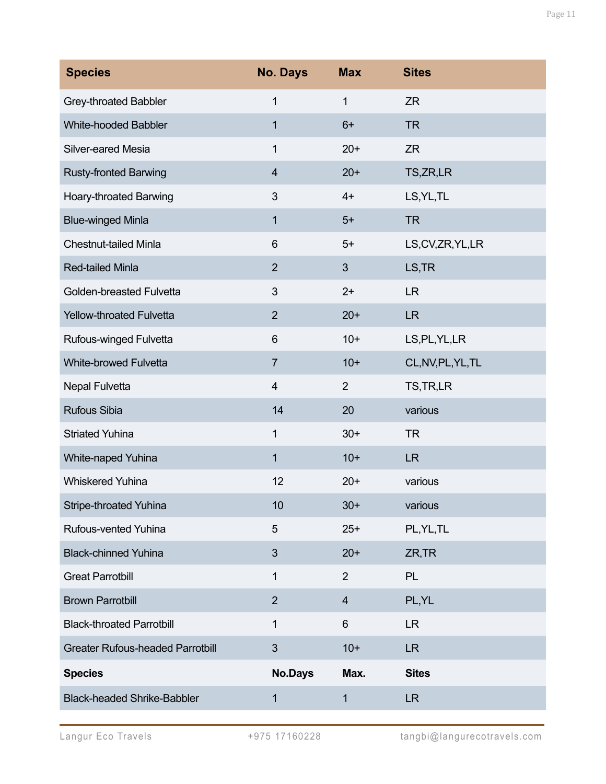| <b>Species</b>                          | <b>No. Days</b> | <b>Max</b>              | <b>Sites</b>       |
|-----------------------------------------|-----------------|-------------------------|--------------------|
| Grey-throated Babbler                   | 1               | 1                       | <b>ZR</b>          |
| <b>White-hooded Babbler</b>             | 1               | $6+$                    | <b>TR</b>          |
| Silver-eared Mesia                      | 1               | $20+$                   | <b>ZR</b>          |
| <b>Rusty-fronted Barwing</b>            | $\overline{4}$  | $20+$                   | TS, ZR, LR         |
| Hoary-throated Barwing                  | $\mathfrak{S}$  | $4+$                    | LS, YL, TL         |
| <b>Blue-winged Minla</b>                | 1               | $5+$                    | <b>TR</b>          |
| <b>Chestnut-tailed Minla</b>            | 6               | $5+$                    | LS, CV, ZR, YL, LR |
| <b>Red-tailed Minla</b>                 | $\overline{2}$  | 3                       | LS, TR             |
| Golden-breasted Fulvetta                | $\mathfrak{S}$  | $2+$                    | <b>LR</b>          |
| <b>Yellow-throated Fulvetta</b>         | 2               | $20+$                   | <b>LR</b>          |
| Rufous-winged Fulvetta                  | 6               | $10+$                   | LS, PL, YL, LR     |
| <b>White-browed Fulvetta</b>            | $\overline{7}$  | $10+$                   | CL, NV, PL, YL, TL |
| <b>Nepal Fulvetta</b>                   | $\overline{4}$  | $\overline{2}$          | TS, TR, LR         |
| <b>Rufous Sibia</b>                     | 14              | 20                      | various            |
| <b>Striated Yuhina</b>                  | 1               | $30+$                   | <b>TR</b>          |
| White-naped Yuhina                      | $\mathbf{1}$    | $10+$                   | <b>LR</b>          |
| <b>Whiskered Yuhina</b>                 | 12              | $20+$                   | various            |
| <b>Stripe-throated Yuhina</b>           | 10              | $30+$                   | various            |
| Rufous-vented Yuhina                    | 5               | $25+$                   | PL, YL, TL         |
| <b>Black-chinned Yuhina</b>             | 3               | $20+$                   | ZR, TR             |
| <b>Great Parrotbill</b>                 | 1               | 2                       | <b>PL</b>          |
| <b>Brown Parrotbill</b>                 | $\overline{2}$  | $\overline{\mathbf{4}}$ | PL, YL             |
| <b>Black-throated Parrotbill</b>        | 1               | 6                       | <b>LR</b>          |
| <b>Greater Rufous-headed Parrotbill</b> | 3               | $10+$                   | <b>LR</b>          |
| <b>Species</b>                          | <b>No.Days</b>  | Max.                    | <b>Sites</b>       |
| <b>Black-headed Shrike-Babbler</b>      | 1               | 1                       | <b>LR</b>          |

Page 11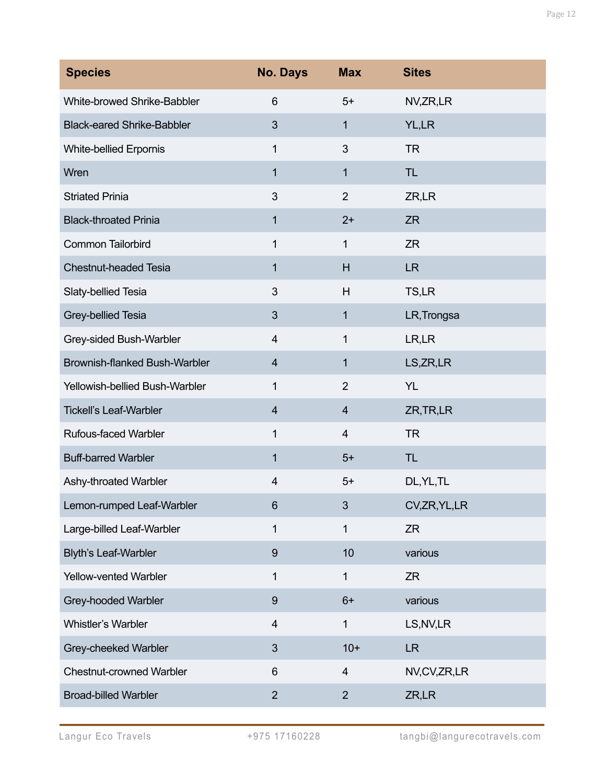| <b>Species</b>                    | <b>No. Days</b>         | <b>Max</b>     | <b>Sites</b>   |
|-----------------------------------|-------------------------|----------------|----------------|
| White-browed Shrike-Babbler       | $6\phantom{1}$          | $5+$           | NV,ZR,LR       |
| <b>Black-eared Shrike-Babbler</b> | 3                       | $\mathbf 1$    | YL,LR          |
| <b>White-bellied Erpornis</b>     | 1                       | 3              | <b>TR</b>      |
| Wren                              | 1                       | $\mathbf{1}$   | <b>TL</b>      |
| <b>Striated Prinia</b>            | 3                       | $\overline{2}$ | ZR,LR          |
| <b>Black-throated Prinia</b>      | 1                       | $2+$           | <b>ZR</b>      |
| Common Tailorbird                 | 1                       | $\mathbf{1}$   | <b>ZR</b>      |
| <b>Chestnut-headed Tesia</b>      | 1                       | H              | <b>LR</b>      |
| Slaty-bellied Tesia               | 3                       | H              | TS,LR          |
| Grey-bellied Tesia                | 3                       | $\mathbf{1}$   | LR, Trongsa    |
| Grey-sided Bush-Warbler           | 4                       | 1              | LR,LR          |
| Brownish-flanked Bush-Warbler     | $\overline{4}$          | $\mathbf{1}$   | LS, ZR, LR     |
| Yellowish-bellied Bush-Warbler    | 1                       | $\overline{2}$ | <b>YL</b>      |
| <b>Tickell's Leaf-Warbler</b>     | $\overline{4}$          | $\overline{4}$ | ZR, TR, LR     |
| <b>Rufous-faced Warbler</b>       | 1                       | $\overline{4}$ | <b>TR</b>      |
| <b>Buff-barred Warbler</b>        | 1                       | $5+$           | <b>TL</b>      |
| Ashy-throated Warbler             | $\overline{4}$          | $5+$           | DL, YL, TL     |
| Lemon-rumped Leaf-Warbler         | 6                       | 3              | CV, ZR, YL, LR |
| Large-billed Leaf-Warbler         | 1                       | $\mathbf{1}$   | <b>ZR</b>      |
| <b>Blyth's Leaf-Warbler</b>       | $\boldsymbol{9}$        | 10             | various        |
| Yellow-vented Warbler             | 1                       | $\mathbf{1}$   | <b>ZR</b>      |
| Grey-hooded Warbler               | $\boldsymbol{9}$        | $6+$           | various        |
| Whistler's Warbler                | $\overline{\mathbf{4}}$ | $\mathbf{1}$   | LS, NV, LR     |
| Grey-cheeked Warbler              | 3                       | $10+$          | <b>LR</b>      |
| <b>Chestnut-crowned Warbler</b>   | $6\phantom{1}$          | 4              | NV,CV,ZR,LR    |
| <b>Broad-billed Warbler</b>       | $\overline{2}$          | $\overline{2}$ | ZR,LR          |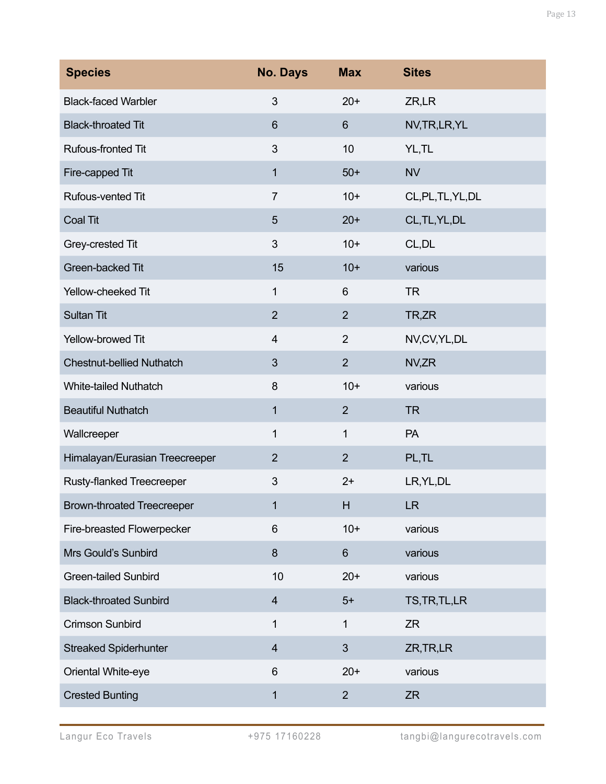| <b>Species</b>                    | <b>No. Days</b>         | <b>Max</b>     | <b>Sites</b>       |
|-----------------------------------|-------------------------|----------------|--------------------|
| <b>Black-faced Warbler</b>        | 3                       | $20+$          | ZR,LR              |
| <b>Black-throated Tit</b>         | 6                       | $6\phantom{1}$ | NV, TR, LR, YL     |
| Rufous-fronted Tit                | 3                       | 10             | YL, TL             |
| Fire-capped Tit                   | 1                       | $50+$          | <b>NV</b>          |
| Rufous-vented Tit                 | $\overline{7}$          | $10+$          | CL, PL, TL, YL, DL |
| Coal Tit                          | 5                       | $20+$          | CL, TL, YL, DL     |
| Grey-crested Tit                  | 3                       | $10+$          | CL, DL             |
| Green-backed Tit                  | 15                      | $10+$          | various            |
| Yellow-cheeked Tit                | 1                       | 6              | <b>TR</b>          |
| <b>Sultan Tit</b>                 | $\overline{2}$          | $\overline{2}$ | TR,ZR              |
| Yellow-browed Tit                 | 4                       | $\overline{2}$ | NV,CV,YL,DL        |
| <b>Chestnut-bellied Nuthatch</b>  | 3                       | $\overline{2}$ | NV,ZR              |
| <b>White-tailed Nuthatch</b>      | 8                       | $10+$          | various            |
| <b>Beautiful Nuthatch</b>         | 1                       | $\overline{2}$ | <b>TR</b>          |
| Wallcreeper                       | 1                       | 1              | PA                 |
| Himalayan/Eurasian Treecreeper    | $\overline{2}$          | $\overline{2}$ | PL,TL              |
| <b>Rusty-flanked Treecreeper</b>  | $\sqrt{3}$              | $2+$           | LR, YL, DL         |
| <b>Brown-throated Treecreeper</b> | 1                       | H              | <b>LR</b>          |
| Fire-breasted Flowerpecker        | 6                       | $10+$          | various            |
| Mrs Gould's Sunbird               | 8                       | $6\phantom{1}$ | various            |
| <b>Green-tailed Sunbird</b>       | 10                      | $20+$          | various            |
| <b>Black-throated Sunbird</b>     | $\overline{4}$          | $5+$           | TS, TR, TL, LR     |
| <b>Crimson Sunbird</b>            | 1                       | 1              | <b>ZR</b>          |
| <b>Streaked Spiderhunter</b>      | $\overline{\mathbf{4}}$ | $\mathfrak{S}$ | ZR, TR, LR         |
| Oriental White-eye                | 6                       | $20+$          | various            |
| <b>Crested Bunting</b>            | 1                       | $\overline{2}$ | <b>ZR</b>          |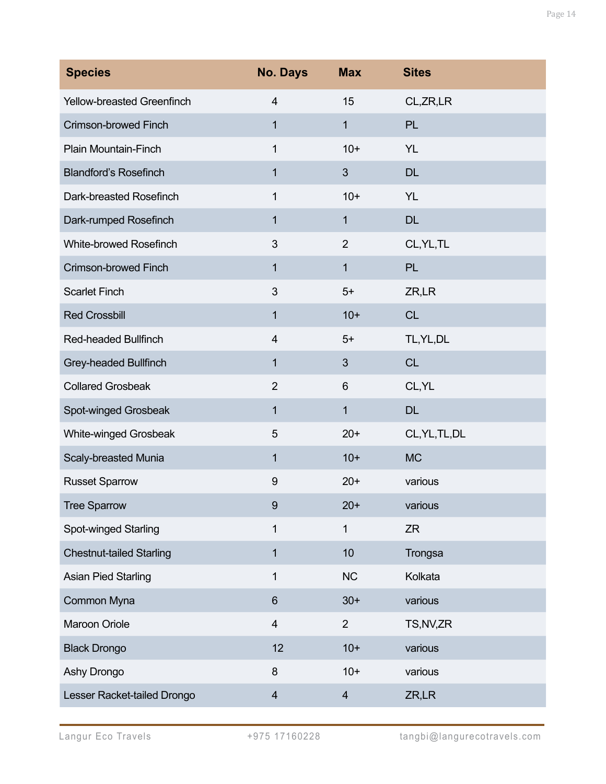| <b>Species</b>                  | <b>No. Days</b>         | <b>Max</b>              | <b>Sites</b>   |
|---------------------------------|-------------------------|-------------------------|----------------|
| Yellow-breasted Greenfinch      | $\overline{4}$          | 15                      | CL, ZR, LR     |
| Crimson-browed Finch            | 1                       | $\mathbf{1}$            | PL             |
| Plain Mountain-Finch            | 1                       | $10+$                   | <b>YL</b>      |
| <b>Blandford's Rosefinch</b>    | 1                       | 3                       | <b>DL</b>      |
| Dark-breasted Rosefinch         | 1                       | $10+$                   | <b>YL</b>      |
| Dark-rumped Rosefinch           | 1                       | $\mathbf{1}$            | <b>DL</b>      |
| White-browed Rosefinch          | 3                       | $\overline{2}$          | CL, YL, TL     |
| Crimson-browed Finch            | 1                       | $\mathbf{1}$            | <b>PL</b>      |
| <b>Scarlet Finch</b>            | 3                       | $5+$                    | ZR,LR          |
| <b>Red Crossbill</b>            | 1                       | $10+$                   | <b>CL</b>      |
| Red-headed Bullfinch            | $\overline{\mathbf{4}}$ | $5+$                    | TL, YL, DL     |
| Grey-headed Bullfinch           | 1                       | 3                       | <b>CL</b>      |
| <b>Collared Grosbeak</b>        | $\mathbf 2$             | 6                       | CL, YL         |
| Spot-winged Grosbeak            | 1                       | $\mathbf{1}$            | <b>DL</b>      |
| White-winged Grosbeak           | 5                       | $20+$                   | CL, YL, TL, DL |
| Scaly-breasted Munia            | 1                       | $10+$                   | <b>MC</b>      |
| <b>Russet Sparrow</b>           | 9                       | $20+$                   | various        |
| <b>Tree Sparrow</b>             | 9                       | $20+$                   | various        |
| Spot-winged Starling            | 1                       | $\mathbf{1}$            | <b>ZR</b>      |
| <b>Chestnut-tailed Starling</b> | 1                       | 10                      | Trongsa        |
| <b>Asian Pied Starling</b>      | 1                       | <b>NC</b>               | Kolkata        |
| Common Myna                     | 6                       | $30+$                   | various        |
| Maroon Oriole                   | $\overline{4}$          | $\overline{2}$          | TS, NV, ZR     |
| <b>Black Drongo</b>             | 12                      | $10+$                   | various        |
| Ashy Drongo                     | 8                       | $10+$                   | various        |
| Lesser Racket-tailed Drongo     | $\overline{4}$          | $\overline{\mathbf{4}}$ | ZR,LR          |